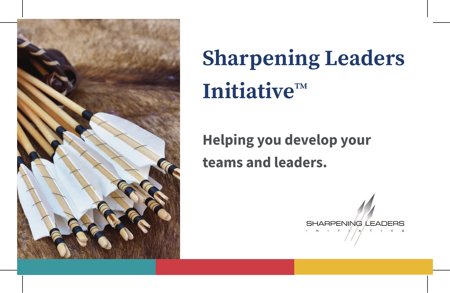

# **Sharpening Leaders Initiative™**

# **Helping you develop your teams and leaders.**

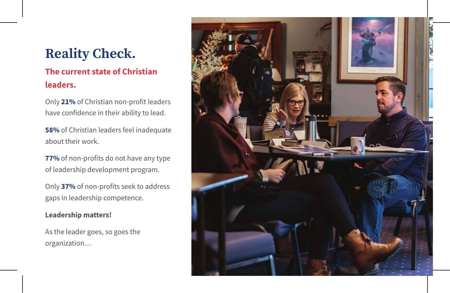# **Reality Check.**

### **The current state of Christian leaders.**

Only **21%** of Christian non-profit leaders have confidence in their ability to lead.

**58%** of Christian leaders feel inadequate about their work.

**77%** of non-profits do not have any type of leadership development program.

Only **37%** of non-profits seek to address gaps in leadership competence.

#### **Leadership matters!**

As the leader goes, so goes the organization…

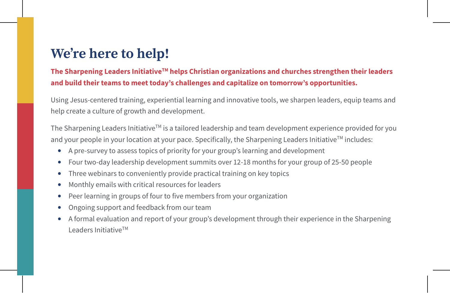# **We're here to help!**

**The Sharpening Leaders InitiativeTM helps Christian organizations and churches strengthen their leaders and build their teams to meet today's challenges and capitalize on tomorrow's opportunities.** 

Using Jesus-centered training, experiential learning and innovative tools, we sharpen leaders, equip teams and help create a culture of growth and development.

The Sharpening Leaders Initiative™ is a tailored leadership and team development experience provided for you and your people in your location at your pace. Specifically, the Sharpening Leaders Initiative<sup>TM</sup> includes:

- A pre-survey to assess topics of priority for your group's learning and development
- Four two-day leadership development summits over 12-18 months for your group of 25-50 people
- Three webinars to conveniently provide practical training on key topics
- Monthly emails with critical resources for leaders
- Peer learning in groups of four to five members from your organization
- Ongoing support and feedback from our team
- A formal evaluation and report of your group's development through their experience in the Sharpening Leaders Initiative™